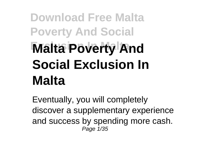## **Download Free Malta Poverty And Social Malta Poverty And Social Exclusion In Malta**

Eventually, you will completely discover a supplementary experience and success by spending more cash. Page 1/35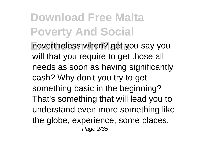**Download Free Malta Poverty And Social Example In Malta** nevertheless when? get you say you will that you require to get those all needs as soon as having significantly cash? Why don't you try to get something basic in the beginning? That's something that will lead you to understand even more something like the globe, experience, some places, Page 2/35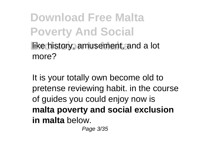**Download Free Malta Poverty And Social Iike history, amusement, and a lot** more?

It is your totally own become old to pretense reviewing habit. in the course of guides you could enjoy now is **malta poverty and social exclusion in malta** below.

Page 3/35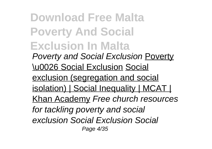**Download Free Malta Poverty And Social Exclusion In Malta** Poverty and Social Exclusion Poverty \u0026 Social Exclusion Social exclusion (segregation and social isolation) | Social Inequality | MCAT | Khan Academy Free church resources for tackling poverty and social exclusion Social Exclusion Social Page 4/35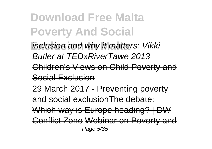**Download Free Malta Poverty And Social** inclusion and why it matters: Vikki Butler at TEDxRiverTawe 2013

Children's Views on Child Poverty and

Social Exclusion

29 March 2017 - Preventing poverty and social exclusionThe debate: Which way is Europe heading? | DW Conflict Zone Webinar on Poverty and Page 5/35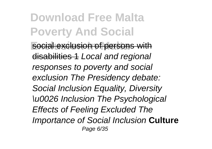**Download Free Malta Poverty And Social Exclusion of persons with** disabilities 1 Local and regional responses to poverty and social exclusion The Presidency debate: Social Inclusion Equality, Diversity \u0026 Inclusion The Psychological Effects of Feeling Excluded The Importance of Social Inclusion **Culture** Page 6/35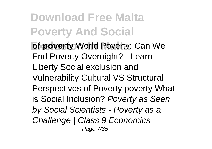**Download Free Malta Poverty And Social of poverty World Poverty: Can We** End Poverty Overnight? - Learn Liberty Social exclusion and Vulnerability Cultural VS Structural Perspectives of Poverty poverty What is Social Inclusion? Poverty as Seen by Social Scientists - Poverty as a Challenge | Class 9 Economics Page 7/35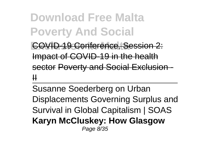**Download Free Malta Poverty And Social**

**COVID-19 Conference, Session 2:** Impact of COVID-19 in the health sector Poverty and Social Exclusion  $\mathbf \mu$ 

Susanne Soederberg on Urban Displacements Governing Surplus and Survival in Global Capitalism | SOAS **Karyn McCluskey: How Glasgow** Page 8/35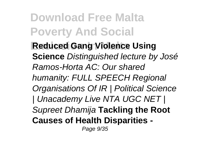**Download Free Malta Poverty And Social Exclusion In Malta Reduced Gang Violence Using Science** Distinguished lecture by José Ramos-Horta AC: Our shared humanity: FULL SPEECH Regional Organisations Of IR | Political Science | Unacademy Live NTA UGC NET | Supreet Dhamija **Tackling the Root Causes of Health Disparities -** Page 9/35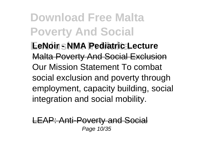**Download Free Malta Poverty And Social EeNoir - NMA Pediatric Lecture** Malta Poverty And Social Exclusion Our Mission Statement To combat social exclusion and poverty through employment, capacity building, social integration and social mobility.

LEAP: Anti-Poverty and Social Page 10/35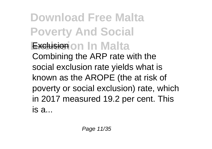**Download Free Malta Poverty And Social Exclusion on In Malta** Combining the ARP rate with the social exclusion rate yields what is known as the AROPE (the at risk of poverty or social exclusion) rate, which in 2017 measured 19.2 per cent. This is a...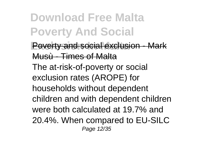**Download Free Malta Poverty And Social Poverty and social exclusion - Mark** Musù - Times of Malta The at-risk-of-poverty or social exclusion rates (AROPE) for households without dependent children and with dependent children were both calculated at 19.7% and 20.4%. When compared to EU-SILC Page 12/35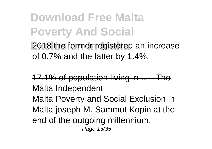**Download Free Malta Poverty And Social Exclusion In Malta** 2018 the former registered an increase of 0.7% and the latter by 1.4%.

17.1% of population living in ... - The Malta Independent Malta Poverty and Social Exclusion in Malta joseph M. Sammut Kopin at the end of the outgoing millennium, Page 13/35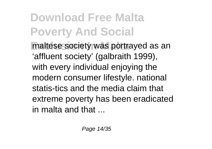**Download Free Malta Poverty And Social** maltese society was portrayed as an 'affluent society' (galbraith 1999), with every individual enjoying the modern consumer lifestyle. national statis-tics and the media claim that extreme poverty has been eradicated in malta and that  $\overline{\phantom{a}}$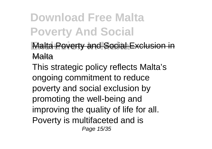**Download Free Malta Poverty And Social**

**Malta Poverty and Social Exclusion in** Malta

This strategic policy reflects Malta's ongoing commitment to reduce poverty and social exclusion by promoting the well-being and improving the quality of life for all. Poverty is multifaceted and is Page 15/35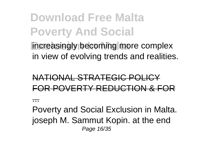**Download Free Malta Poverty And Social Increasingly becoming more complex** in view of evolving trends and realities.

## NATIONAL STRATEGIC POLICY FOR POVERTY REDUCTION & FOR

...

Poverty and Social Exclusion in Malta. joseph M. Sammut Kopin. at the end Page 16/35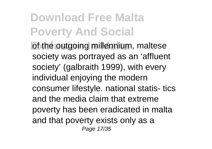## **Download Free Malta Poverty And Social**

of the outgoing millennium, maltese society was portrayed as an 'affluent society' (galbraith 1999), with every individual enjoying the modern consumer lifestyle. national statis- tics and the media claim that extreme poverty has been eradicated in malta and that poverty exists only as a Page 17/35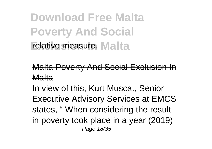**Download Free Malta Poverty And Social Felative measure. Malta** 

Malta Poverty And Social Exclusion In Malta

In view of this, Kurt Muscat, Senior Executive Advisory Services at EMCS states, " When considering the result in poverty took place in a year (2019) Page 18/35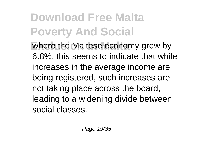**Download Free Malta Poverty And Social Example 1** where the Maltese economy grew by 6.8%, this seems to indicate that while increases in the average income are being registered, such increases are not taking place across the board, leading to a widening divide between social classes.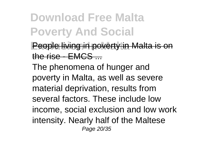**Download Free Malta Poverty And Social**

**People living in poverty in Malta is on** the rise - **EMCS** 

The phenomena of hunger and poverty in Malta, as well as severe material deprivation, results from several factors. These include low income, social exclusion and low work intensity. Nearly half of the Maltese Page 20/35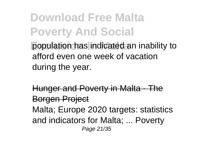**Download Free Malta Poverty And Social Population has indicated an inability to** afford even one week of vacation during the year.

Hunger and Poverty in Malta - The **Borgen Project** Malta; Europe 2020 targets: statistics and indicators for Malta; ... Poverty Page 21/35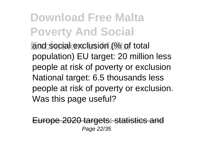**Download Free Malta Poverty And Social** and social exclusion (% of total population) EU target: 20 million less people at risk of poverty or exclusion National target: 6.5 thousands less people at risk of poverty or exclusion. Was this page useful?

Europe 2020 targets: statistics and Page 22/35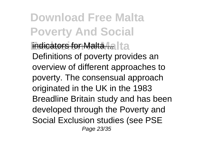**Download Free Malta Poverty And Social Exdicators for Malta ....** It a Definitions of poverty provides an overview of different approaches to poverty. The consensual approach originated in the UK in the 1983 Breadline Britain study and has been developed through the Poverty and Social Exclusion studies (see PSE Page 23/35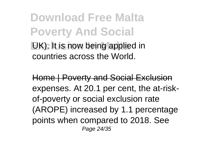**Download Free Malta Poverty And Social EX)**. It is now being applied in countries across the World.

Home | Poverty and Social Exclusion expenses. At 20.1 per cent, the at-riskof-poverty or social exclusion rate (AROPE) increased by 1.1 percentage points when compared to 2018. See Page 24/35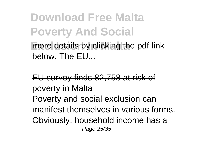**Download Free Malta Poverty And Social Example 3** more details by clicking the pdf link below. The FU.

EU survey finds 82,758 at risk of poverty in Malta Poverty and social exclusion can manifest themselves in various forms. Obviously, household income has a Page 25/35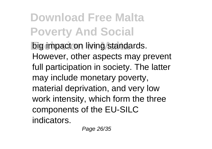**Download Free Malta Poverty And Social Example 1 Example 2 Example 1 Example 1 c** However, other aspects may prevent full participation in society. The latter may include monetary poverty, material deprivation, and very low work intensity, which form the three components of the EU-SILC indicators.

Page 26/35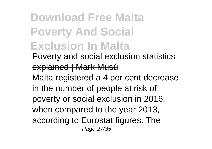**Download Free Malta Poverty And Social Exclusion In Malta** Poverty and social exclusion statistics explained | Mark Musú Malta registered a 4 per cent decrease in the number of people at risk of poverty or social exclusion in 2016, when compared to the year 2013, according to Eurostat figures. The Page 27/35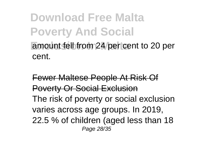**Download Free Malta Poverty And Social** amount fell from 24 per cent to 20 per cent.

Fewer Maltese People At Risk Of Poverty Or Social Exclusion The risk of poverty or social exclusion varies across age groups. In 2019, 22.5 % of children (aged less than 18 Page 28/35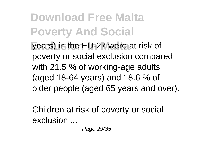**Download Free Malta Poverty And Social Vears) in the EU-27 were at risk of** poverty or social exclusion compared with 21.5 % of working-age adults (aged 18-64 years) and 18.6 % of older people (aged 65 years and over).

Children at risk of poverty or social  $\sim$ clusion ...

Page 29/35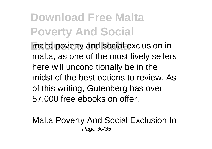**Download Free Malta Poverty And Social malta poverty and social exclusion in** malta, as one of the most lively sellers here will unconditionally be in the midst of the best options to review. As of this writing, Gutenberg has over 57,000 free ebooks on offer.

Malta Poverty And Social Exclusion In Page 30/35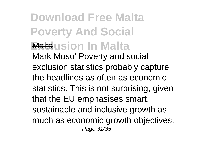**Download Free Malta Poverty And Social Exclusion In Malta** Malta Mark Musu' Poverty and social exclusion statistics probably capture the headlines as often as economic statistics. This is not surprising, given that the EU emphasises smart, sustainable and inclusive growth as much as economic growth objectives. Page 31/35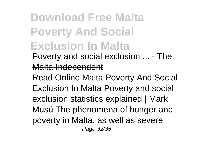**Download Free Malta Poverty And Social Exclusion In Malta** Poverty and social exclusion ... Malta Independent Read Online Malta Poverty And Social Exclusion In Malta Poverty and social exclusion statistics explained | Mark Musú The phenomena of hunger and poverty in Malta, as well as severe Page 32/35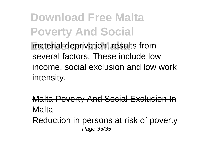**Download Free Malta Poverty And Social** material deprivation, results from several factors. These include low income, social exclusion and low work intensity.

Malta Poverty And Social Exclusion In Malta

Reduction in persons at risk of poverty Page 33/35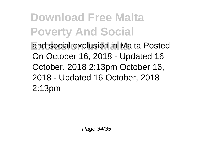**Download Free Malta Poverty And Social Exclusion in Malta Posted** On October 16, 2018 - Updated 16 October, 2018 2:13pm October 16, 2018 - Updated 16 October, 2018 2:13pm